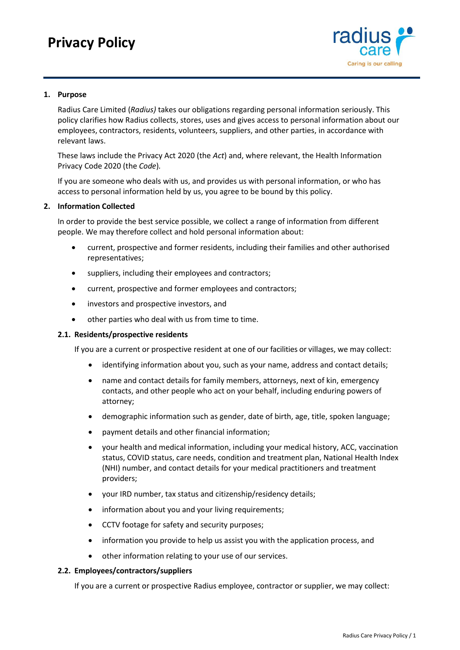# **Privacy Policy**



## **1. Purpose**

Radius Care Limited (*Radius)* takes our obligations regarding personal information seriously. This policy clarifies how Radius collects, stores, uses and gives access to personal information about our employees, contractors, residents, volunteers, suppliers, and other parties, in accordance with relevant laws.

These laws include the Privacy Act 2020 (the *Act*) and, where relevant, the Health Information Privacy Code 2020 (the *Code*)*.*

If you are someone who deals with us, and provides us with personal information, or who has access to personal information held by us, you agree to be bound by this policy.

#### **2. Information Collected**

In order to provide the best service possible, we collect a range of information from different people. We may therefore collect and hold personal information about:

- current, prospective and former residents, including their families and other authorised representatives;
- suppliers, including their employees and contractors;
- current, prospective and former employees and contractors;
- investors and prospective investors, and
- other parties who deal with us from time to time.

#### **2.1. Residents/prospective residents**

If you are a current or prospective resident at one of our facilities or villages, we may collect:

- identifying information about you, such as your name, address and contact details;
- name and contact details for family members, attorneys, next of kin, emergency contacts, and other people who act on your behalf, including enduring powers of attorney;
- demographic information such as gender, date of birth, age, title, spoken language;
- payment details and other financial information;
- your health and medical information, including your medical history, ACC, vaccination status, COVID status, care needs, condition and treatment plan, National Health Index (NHI) number, and contact details for your medical practitioners and treatment providers;
- your IRD number, tax status and citizenship/residency details;
- information about you and your living requirements;
- CCTV footage for safety and security purposes;
- information you provide to help us assist you with the application process, and
- other information relating to your use of our services.

#### **2.2. Employees/contractors/suppliers**

If you are a current or prospective Radius employee, contractor or supplier, we may collect: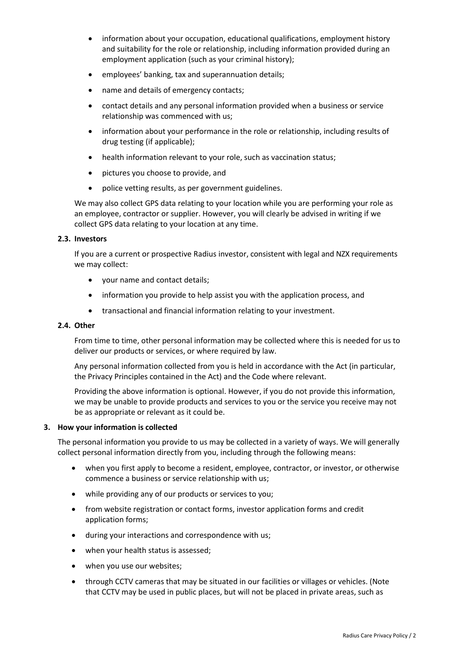- information about your occupation, educational qualifications, employment history and suitability for the role or relationship, including information provided during an employment application (such as your criminal history);
- employees' banking, tax and superannuation details;
- name and details of emergency contacts;
- contact details and any personal information provided when a business or service relationship was commenced with us;
- information about your performance in the role or relationship, including results of drug testing (if applicable);
- health information relevant to your role, such as vaccination status;
- pictures you choose to provide, and
- police vetting results, as per government guidelines.

We may also collect GPS data relating to your location while you are performing your role as an employee, contractor or supplier. However, you will clearly be advised in writing if we collect GPS data relating to your location at any time.

## **2.3. Investors**

If you are a current or prospective Radius investor, consistent with legal and NZX requirements we may collect:

- your name and contact details;
- information you provide to help assist you with the application process, and
- transactional and financial information relating to your investment.

# **2.4. Other**

From time to time, other personal information may be collected where this is needed for us to deliver our products or services, or where required by law.

Any personal information collected from you is held in accordance with the Act (in particular, the Privacy Principles contained in the Act) and the Code where relevant.

Providing the above information is optional. However, if you do not provide this information, we may be unable to provide products and services to you or the service you receive may not be as appropriate or relevant as it could be.

## **3. How your information is collected**

The personal information you provide to us may be collected in a variety of ways. We will generally collect personal information directly from you, including through the following means:

- when you first apply to become a resident, employee, contractor, or investor, or otherwise commence a business or service relationship with us;
- while providing any of our products or services to you;
- from website registration or contact forms, investor application forms and credit application forms;
- during your interactions and correspondence with us;
- when your health status is assessed;
- when you use our websites;
- through CCTV cameras that may be situated in our facilities or villages or vehicles. (Note that CCTV may be used in public places, but will not be placed in private areas, such as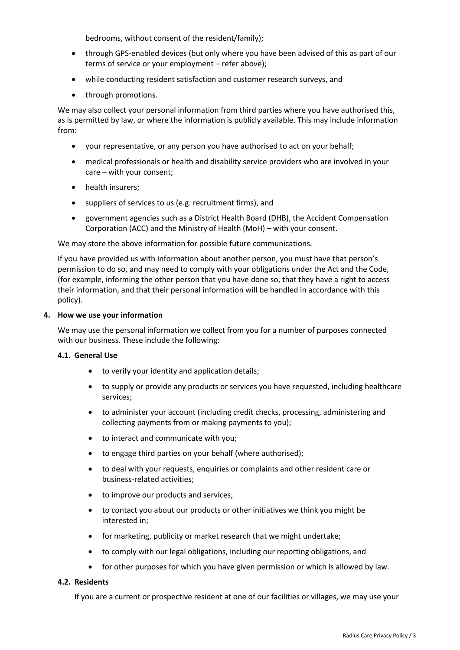bedrooms, without consent of the resident/family);

- through GPS-enabled devices (but only where you have been advised of this as part of our terms of service or your employment – refer above);
- while conducting resident satisfaction and customer research surveys, and
- through promotions.

We may also collect your personal information from third parties where you have authorised this, as is permitted by law, or where the information is publicly available. This may include information from:

- your representative, or any person you have authorised to act on your behalf;
- medical professionals or health and disability service providers who are involved in your care – with your consent;
- health insurers:
- suppliers of services to us (e.g. recruitment firms), and
- government agencies such as a District Health Board (DHB), the Accident Compensation Corporation (ACC) and the Ministry of Health (MoH) – with your consent.

We may store the above information for possible future communications.

If you have provided us with information about another person, you must have that person's permission to do so, and may need to comply with your obligations under the Act and the Code, (for example, informing the other person that you have done so, that they have a right to access their information, and that their personal information will be handled in accordance with this policy).

## **4. How we use your information**

We may use the personal information we collect from you for a number of purposes connected with our business. These include the following:

## **4.1. General Use**

- to verify your identity and application details;
- to supply or provide any products or services you have requested, including healthcare services;
- to administer your account (including credit checks, processing, administering and collecting payments from or making payments to you);
- to interact and communicate with you;
- to engage third parties on your behalf (where authorised);
- to deal with your requests, enquiries or complaints and other resident care or business-related activities;
- to improve our products and services;
- to contact you about our products or other initiatives we think you might be interested in;
- for marketing, publicity or market research that we might undertake;
- to comply with our legal obligations, including our reporting obligations, and
- for other purposes for which you have given permission or which is allowed by law.

# **4.2. Residents**

If you are a current or prospective resident at one of our facilities or villages, we may use your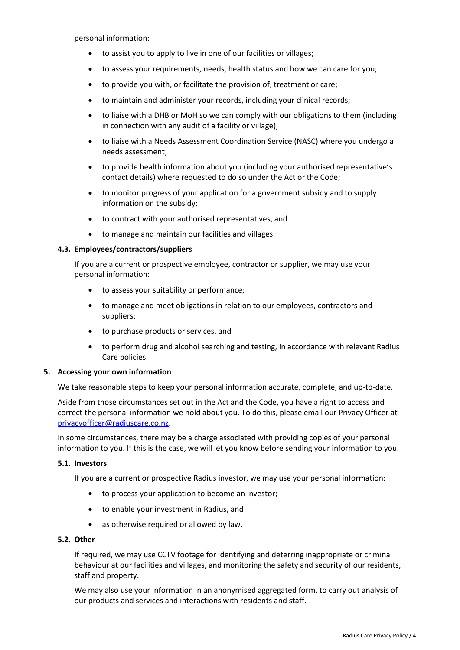personal information:

- to assist you to apply to live in one of our facilities or villages;
- to assess your requirements, needs, health status and how we can care for you;
- to provide you with, or facilitate the provision of, treatment or care;
- to maintain and administer your records, including your clinical records;
- to liaise with a DHB or MoH so we can comply with our obligations to them (including in connection with any audit of a facility or village);
- to liaise with a Needs Assessment Coordination Service (NASC) where you undergo a needs assessment;
- to provide health information about you (including your authorised representative's contact details) where requested to do so under the Act or the Code;
- to monitor progress of your application for a government subsidy and to supply information on the subsidy;
- to contract with your authorised representatives, and
- to manage and maintain our facilities and villages.

## **4.3. Employees/contractors/suppliers**

If you are a current or prospective employee, contractor or supplier, we may use your personal information:

- to assess your suitability or performance;
- to manage and meet obligations in relation to our employees, contractors and suppliers;
- to purchase products or services, and
- to perform drug and alcohol searching and testing, in accordance with relevant Radius Care policies.

## **5. Accessing your own information**

We take reasonable steps to keep your personal information accurate, complete, and up-to-date.

Aside from those circumstances set out in the Act and the Code, you have a right to access and correct the personal information we hold about you. To do this, please email our Privacy Officer at [privacyofficer@radiuscare.co.nz.](mailto:privacyofficer@radiuscare.co.nz)

In some circumstances, there may be a charge associated with providing copies of your personal information to you. If this is the case, we will let you know before sending your information to you.

## **5.1. Investors**

If you are a current or prospective Radius investor, we may use your personal information:

- to process your application to become an investor;
- to enable your investment in Radius, and
- as otherwise required or allowed by law.

#### **5.2. Other**

If required, we may use CCTV footage for identifying and deterring inappropriate or criminal behaviour at our facilities and villages, and monitoring the safety and security of our residents, staff and property.

We may also use your information in an anonymised aggregated form, to carry out analysis of our products and services and interactions with residents and staff.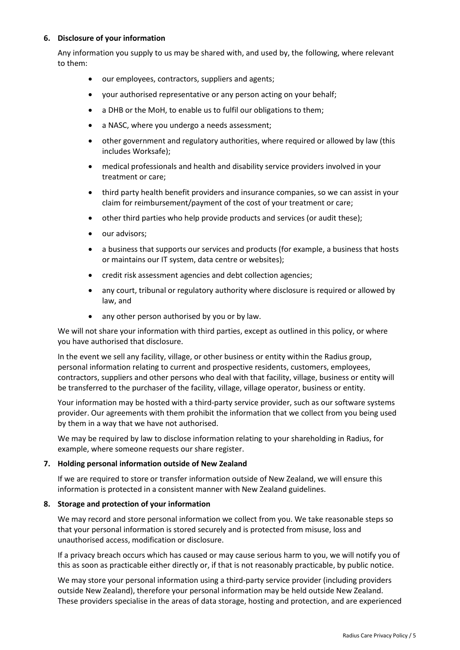# **6. Disclosure of your information**

Any information you supply to us may be shared with, and used by, the following, where relevant to them:

- our employees, contractors, suppliers and agents;
- your authorised representative or any person acting on your behalf;
- a DHB or the MoH, to enable us to fulfil our obligations to them;
- a NASC, where you undergo a needs assessment:
- other government and regulatory authorities, where required or allowed by law (this includes Worksafe);
- medical professionals and health and disability service providers involved in your treatment or care;
- third party health benefit providers and insurance companies, so we can assist in your claim for reimbursement/payment of the cost of your treatment or care;
- other third parties who help provide products and services (or audit these);
- our advisors:
- a business that supports our services and products (for example, a business that hosts or maintains our IT system, data centre or websites);
- credit risk assessment agencies and debt collection agencies;
- any court, tribunal or regulatory authority where disclosure is required or allowed by law, and
- any other person authorised by you or by law.

We will not share your information with third parties, except as outlined in this policy, or where you have authorised that disclosure.

In the event we sell any facility, village, or other business or entity within the Radius group, personal information relating to current and prospective residents, customers, employees, contractors, suppliers and other persons who deal with that facility, village, business or entity will be transferred to the purchaser of the facility, village, village operator, business or entity.

Your information may be hosted with a third-party service provider, such as our software systems provider. Our agreements with them prohibit the information that we collect from you being used by them in a way that we have not authorised.

We may be required by law to disclose information relating to your shareholding in Radius, for example, where someone requests our share register.

## **7. Holding personal information outside of New Zealand**

If we are required to store or transfer information outside of New Zealand, we will ensure this information is protected in a consistent manner with New Zealand guidelines.

## **8. Storage and protection of your information**

We may record and store personal information we collect from you. We take reasonable steps so that your personal information is stored securely and is protected from misuse, loss and unauthorised access, modification or disclosure.

If a privacy breach occurs which has caused or may cause serious harm to you, we will notify you of this as soon as practicable either directly or, if that is not reasonably practicable, by public notice.

We may store your personal information using a third-party service provider (including providers outside New Zealand), therefore your personal information may be held outside New Zealand. These providers specialise in the areas of data storage, hosting and protection, and are experienced